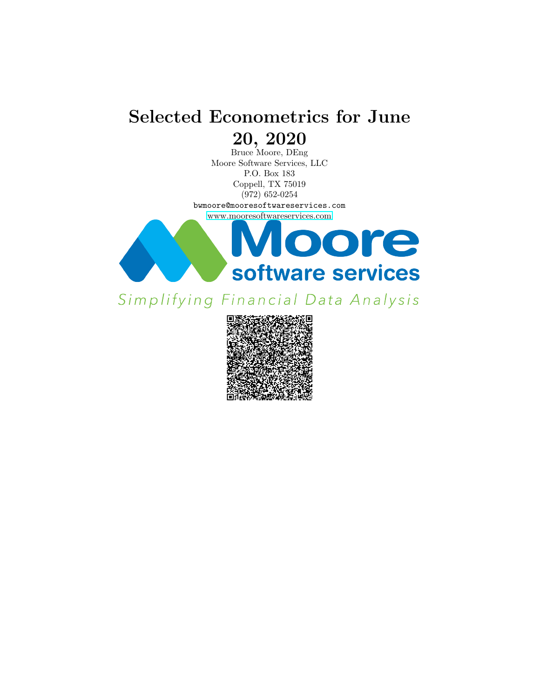# Selected Econometrics for June 20, 2020

Bruce Moore, DEng Moore Software Services, LLC P.O. Box 183 Coppell, TX 75019 (972) 652-0254

bwmoore@mooresoftwareservices.com [www.mooresoftwareservices.com](https://www.mooresoftwareservices.com)



Simplifying Financial Data Analysis

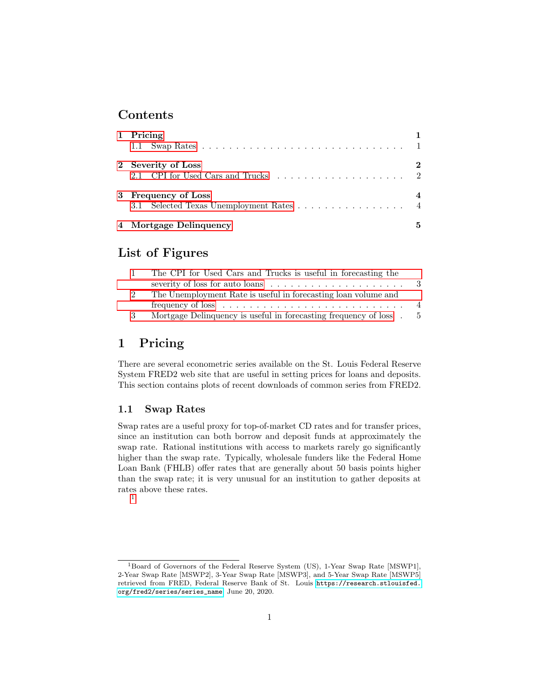### Contents

| 1 Pricing                                                      |   |
|----------------------------------------------------------------|---|
| 2 Severity of Loss                                             | 2 |
| 3 Frequency of Loss<br>3.1 Selected Texas Unemployment Rates 4 | 4 |
| 4 Mortgage Delinquency                                         | 5 |

### List of Figures

|    | The CPI for Used Cars and Trucks is useful in forecasting the                          |          |
|----|----------------------------------------------------------------------------------------|----------|
|    | severity of loss for auto loans $\dots \dots \dots \dots \dots \dots \dots$            | - 3      |
| -2 | The Unemployment Rate is useful in forecasting loan volume and                         |          |
|    | frequency of $\text{loss} \dots \dots \dots \dots \dots \dots \dots \dots \dots \dots$ | $\sim$ 4 |
| -3 | Mortgage Delinquency is useful in forecasting frequency of loss.                       | - 5      |

## <span id="page-1-0"></span>1 Pricing

There are several econometric series available on the St. Louis Federal Reserve System FRED2 web site that are useful in setting prices for loans and deposits. This section contains plots of recent downloads of common series from FRED2.

#### <span id="page-1-1"></span>1.1 Swap Rates

Swap rates are a useful proxy for top-of-market CD rates and for transfer prices, since an institution can both borrow and deposit funds at approximately the swap rate. Rational institutions with access to markets rarely go significantly higher than the swap rate. Typically, wholesale funders like the Federal Home Loan Bank (FHLB) offer rates that are generally about 50 basis points higher than the swap rate; it is very unusual for an institution to gather deposits at rates above these rates.

[<sup>1</sup>](#page-1-2)

<span id="page-1-2"></span><sup>1</sup>Board of Governors of the Federal Reserve System (US), 1-Year Swap Rate [MSWP1], 2-Year Swap Rate [MSWP2], 3-Year Swap Rate [MSWP3], and 5-Year Swap Rate [MSWP5] retrieved from FRED, Federal Reserve Bank of St. Louis [https://research.stlouisfed.](https://research.stlouisfed.org/fred2/series/series_name) [org/fred2/series/series\\_name](https://research.stlouisfed.org/fred2/series/series_name), June 20, 2020.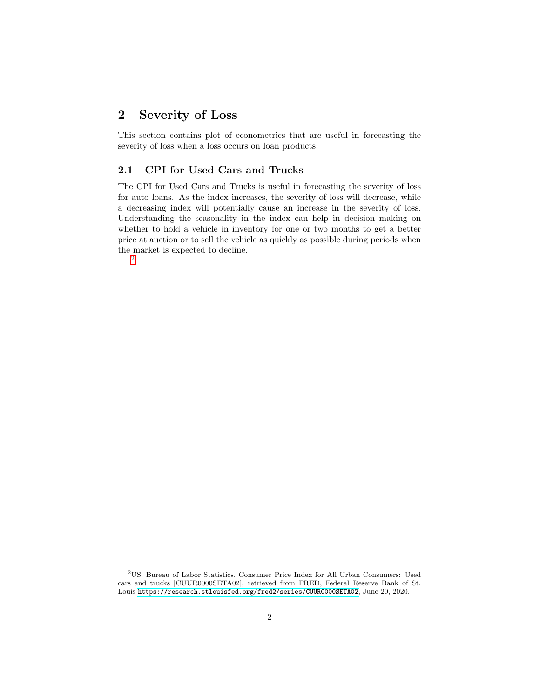## <span id="page-2-0"></span>2 Severity of Loss

This section contains plot of econometrics that are useful in forecasting the severity of loss when a loss occurs on loan products.

#### <span id="page-2-1"></span>2.1 CPI for Used Cars and Trucks

The CPI for Used Cars and Trucks is useful in forecasting the severity of loss for auto loans. As the index increases, the severity of loss will decrease, while a decreasing index will potentially cause an increase in the severity of loss. Understanding the seasonality in the index can help in decision making on whether to hold a vehicle in inventory for one or two months to get a better price at auction or to sell the vehicle as quickly as possible during periods when the market is expected to decline. [2](#page-2-2)

<span id="page-2-2"></span><sup>2</sup>US. Bureau of Labor Statistics, Consumer Price Index for All Urban Consumers: Used cars and trucks [CUUR0000SETA02], retrieved from FRED, Federal Reserve Bank of St. Louis <https://research.stlouisfed.org/fred2/series/CUUR0000SETA02>, June 20, 2020.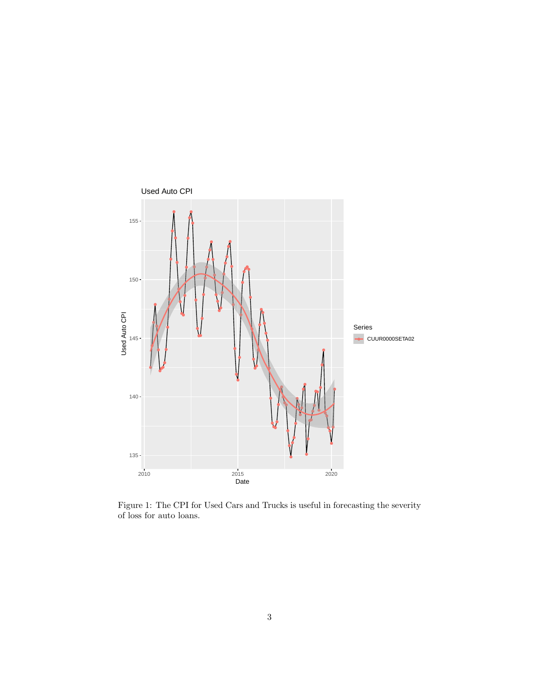

<span id="page-3-0"></span>Figure 1: The CPI for Used Cars and Trucks is useful in forecasting the severity of loss for auto loans.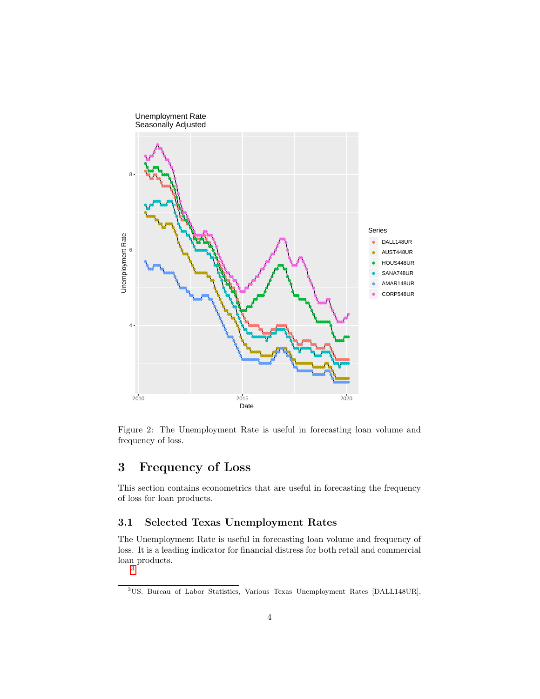

<span id="page-4-2"></span>Figure 2: The Unemployment Rate is useful in forecasting loan volume and frequency of loss.

# <span id="page-4-0"></span>3 Frequency of Loss

This section contains econometrics that are useful in forecasting the frequency of loss for loan products.

#### <span id="page-4-1"></span>3.1 Selected Texas Unemployment Rates

The Unemployment Rate is useful in forecasting loan volume and frequency of loss. It is a leading indicator for financial distress for both retail and commercial loan products. [3](#page-4-3)

<span id="page-4-3"></span><sup>3</sup>US. Bureau of Labor Statistics, Various Texas Unemployment Rates [DALL148UR],